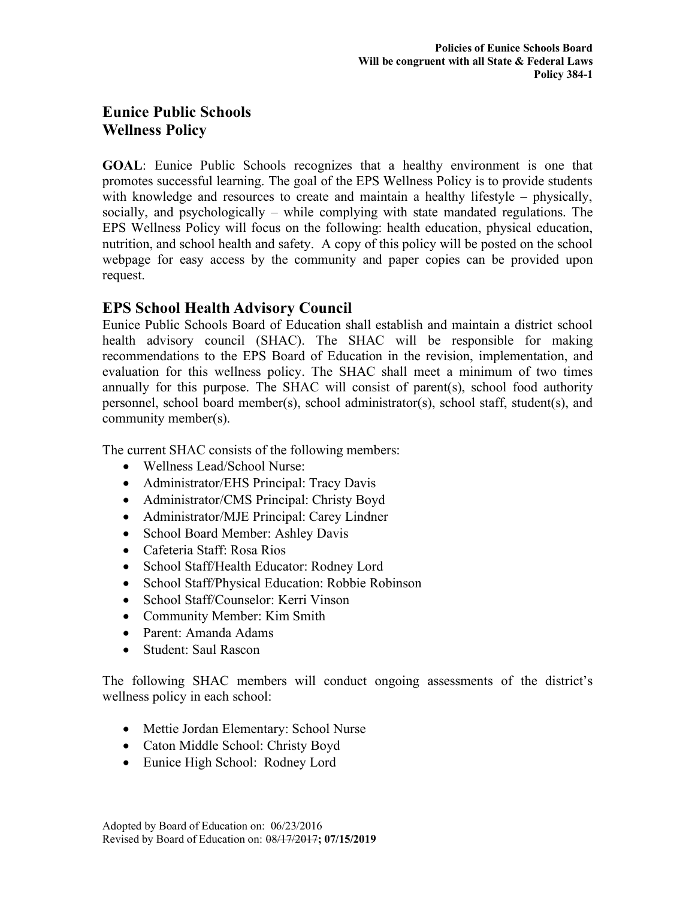## **Eunice Public Schools Wellness Policy**

**GOAL**: Eunice Public Schools recognizes that a healthy environment is one that promotes successful learning. The goal of the EPS Wellness Policy is to provide students with knowledge and resources to create and maintain a healthy lifestyle – physically, socially, and psychologically – while complying with state mandated regulations. The EPS Wellness Policy will focus on the following: health education, physical education, nutrition, and school health and safety. A copy of this policy will be posted on the school webpage for easy access by the community and paper copies can be provided upon request.

## **EPS School Health Advisory Council**

Eunice Public Schools Board of Education shall establish and maintain a district school health advisory council (SHAC). The SHAC will be responsible for making recommendations to the EPS Board of Education in the revision, implementation, and evaluation for this wellness policy. The SHAC shall meet a minimum of two times annually for this purpose. The SHAC will consist of parent(s), school food authority personnel, school board member(s), school administrator(s), school staff, student(s), and community member(s).

The current SHAC consists of the following members:

- Wellness Lead/School Nurse:
- Administrator/EHS Principal: Tracy Davis
- Administrator/CMS Principal: Christy Boyd
- Administrator/MJE Principal: Carey Lindner
- School Board Member: Ashley Davis
- Cafeteria Staff: Rosa Rios
- School Staff/Health Educator: Rodney Lord
- School Staff/Physical Education: Robbie Robinson
- School Staff/Counselor: Kerri Vinson
- Community Member: Kim Smith
- Parent: Amanda Adams
- Student: Saul Rascon

The following SHAC members will conduct ongoing assessments of the district's wellness policy in each school:

- Mettie Jordan Elementary: School Nurse
- Caton Middle School: Christy Boyd
- Eunice High School: Rodney Lord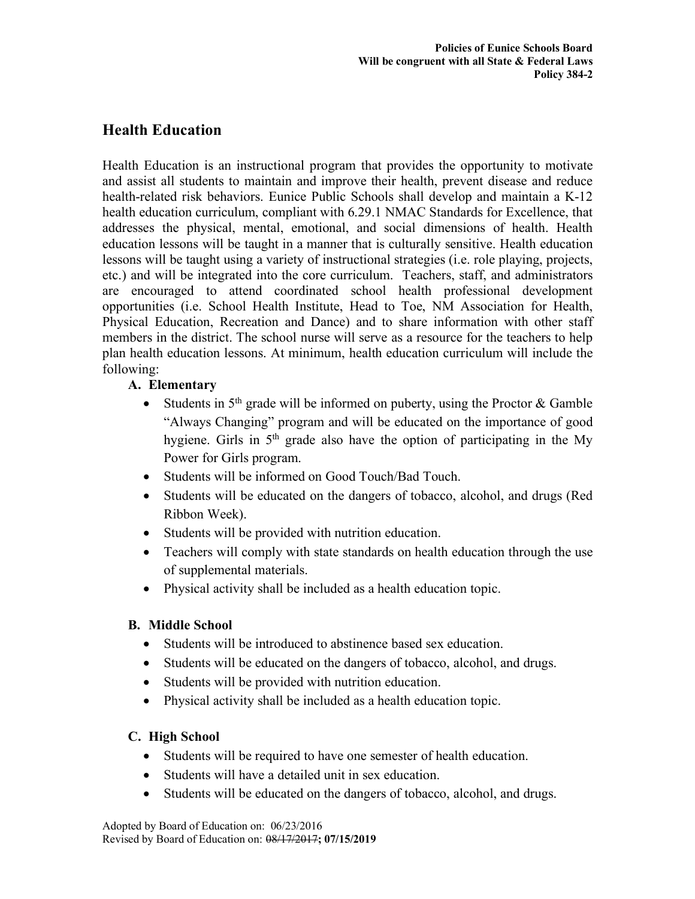# **Health Education**

Health Education is an instructional program that provides the opportunity to motivate and assist all students to maintain and improve their health, prevent disease and reduce health-related risk behaviors. Eunice Public Schools shall develop and maintain a K-12 health education curriculum, compliant with 6.29.1 NMAC Standards for Excellence, that addresses the physical, mental, emotional, and social dimensions of health. Health education lessons will be taught in a manner that is culturally sensitive. Health education lessons will be taught using a variety of instructional strategies (i.e. role playing, projects, etc.) and will be integrated into the core curriculum. Teachers, staff, and administrators are encouraged to attend coordinated school health professional development opportunities (i.e. School Health Institute, Head to Toe, NM Association for Health, Physical Education, Recreation and Dance) and to share information with other staff members in the district. The school nurse will serve as a resource for the teachers to help plan health education lessons. At minimum, health education curriculum will include the following:

## **A. Elementary**

- Students in  $5<sup>th</sup>$  grade will be informed on puberty, using the Proctor & Gamble "Always Changing" program and will be educated on the importance of good hygiene. Girls in  $5<sup>th</sup>$  grade also have the option of participating in the My Power for Girls program.
- Students will be informed on Good Touch/Bad Touch.
- Students will be educated on the dangers of tobacco, alcohol, and drugs (Red Ribbon Week).
- Students will be provided with nutrition education.
- Teachers will comply with state standards on health education through the use of supplemental materials.
- Physical activity shall be included as a health education topic.

### **B. Middle School**

- Students will be introduced to abstinence based sex education.
- Students will be educated on the dangers of tobacco, alcohol, and drugs.
- Students will be provided with nutrition education.
- Physical activity shall be included as a health education topic.

### **C. High School**

- Students will be required to have one semester of health education.
- Students will have a detailed unit in sex education.
- Students will be educated on the dangers of tobacco, alcohol, and drugs.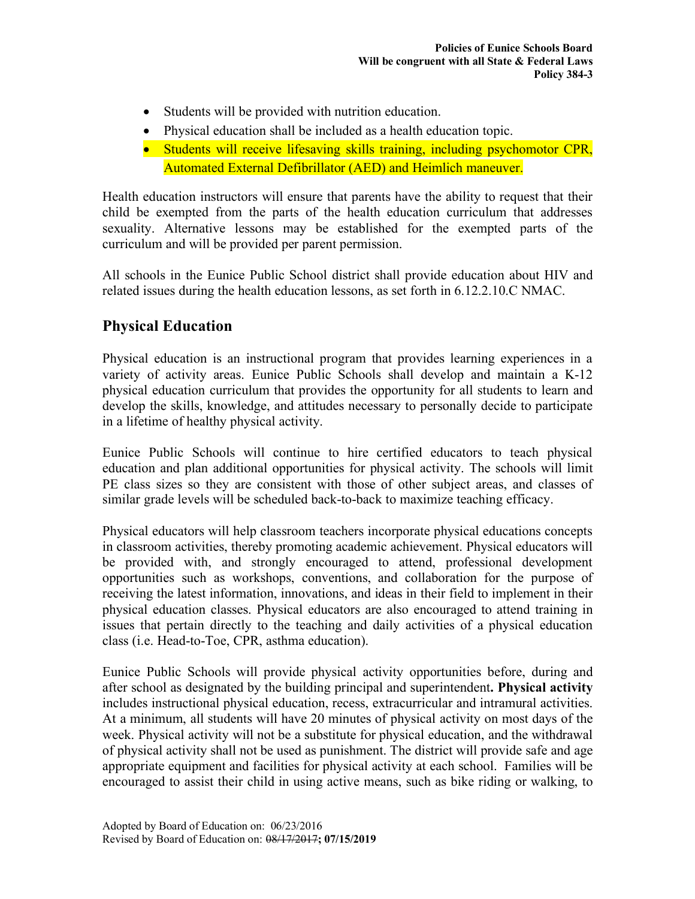- Students will be provided with nutrition education.
- Physical education shall be included as a health education topic.
- Students will receive lifesaving skills training, including psychomotor CPR, Automated External Defibrillator (AED) and Heimlich maneuver.

Health education instructors will ensure that parents have the ability to request that their child be exempted from the parts of the health education curriculum that addresses sexuality. Alternative lessons may be established for the exempted parts of the curriculum and will be provided per parent permission.

All schools in the Eunice Public School district shall provide education about HIV and related issues during the health education lessons, as set forth in 6.12.2.10.C NMAC.

# **Physical Education**

Physical education is an instructional program that provides learning experiences in a variety of activity areas. Eunice Public Schools shall develop and maintain a K-12 physical education curriculum that provides the opportunity for all students to learn and develop the skills, knowledge, and attitudes necessary to personally decide to participate in a lifetime of healthy physical activity.

Eunice Public Schools will continue to hire certified educators to teach physical education and plan additional opportunities for physical activity. The schools will limit PE class sizes so they are consistent with those of other subject areas, and classes of similar grade levels will be scheduled back-to-back to maximize teaching efficacy.

Physical educators will help classroom teachers incorporate physical educations concepts in classroom activities, thereby promoting academic achievement. Physical educators will be provided with, and strongly encouraged to attend, professional development opportunities such as workshops, conventions, and collaboration for the purpose of receiving the latest information, innovations, and ideas in their field to implement in their physical education classes. Physical educators are also encouraged to attend training in issues that pertain directly to the teaching and daily activities of a physical education class (i.e. Head-to-Toe, CPR, asthma education).

Eunice Public Schools will provide physical activity opportunities before, during and after school as designated by the building principal and superintendent**. Physical activity** includes instructional physical education, recess, extracurricular and intramural activities. At a minimum, all students will have 20 minutes of physical activity on most days of the week. Physical activity will not be a substitute for physical education, and the withdrawal of physical activity shall not be used as punishment. The district will provide safe and age appropriate equipment and facilities for physical activity at each school. Families will be encouraged to assist their child in using active means, such as bike riding or walking, to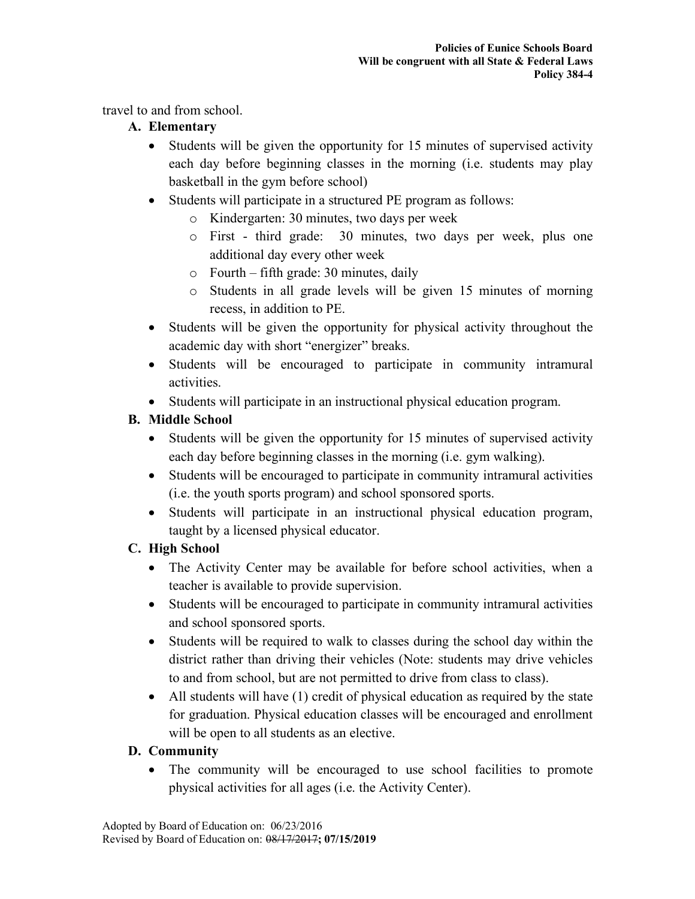travel to and from school.

## **A. Elementary**

- Students will be given the opportunity for 15 minutes of supervised activity each day before beginning classes in the morning (i.e. students may play basketball in the gym before school)
- Students will participate in a structured PE program as follows:
	- o Kindergarten: 30 minutes, two days per week
	- o First third grade: 30 minutes, two days per week, plus one additional day every other week
	- o Fourth fifth grade: 30 minutes, daily
	- o Students in all grade levels will be given 15 minutes of morning recess, in addition to PE.
- Students will be given the opportunity for physical activity throughout the academic day with short "energizer" breaks.
- Students will be encouraged to participate in community intramural activities.
- Students will participate in an instructional physical education program.

# **B. Middle School**

- Students will be given the opportunity for 15 minutes of supervised activity each day before beginning classes in the morning (i.e. gym walking).
- Students will be encouraged to participate in community intramural activities (i.e. the youth sports program) and school sponsored sports.
- Students will participate in an instructional physical education program, taught by a licensed physical educator.

## **C. High School**

- The Activity Center may be available for before school activities, when a teacher is available to provide supervision.
- Students will be encouraged to participate in community intramural activities and school sponsored sports.
- Students will be required to walk to classes during the school day within the district rather than driving their vehicles (Note: students may drive vehicles to and from school, but are not permitted to drive from class to class).
- All students will have (1) credit of physical education as required by the state for graduation. Physical education classes will be encouraged and enrollment will be open to all students as an elective.

## **D. Community**

• The community will be encouraged to use school facilities to promote physical activities for all ages (i.e. the Activity Center).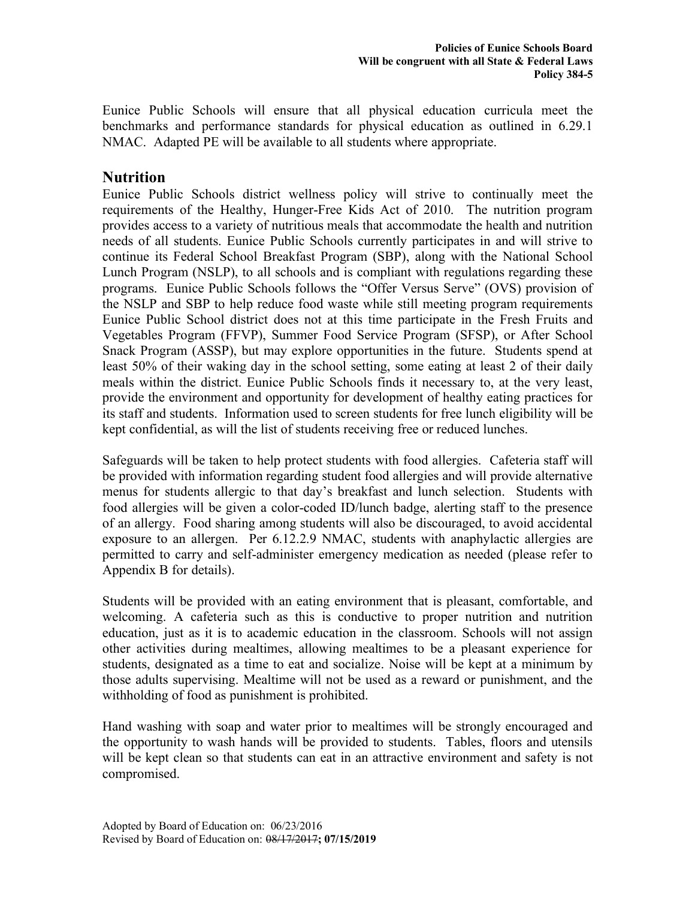Eunice Public Schools will ensure that all physical education curricula meet the benchmarks and performance standards for physical education as outlined in 6.29.1 NMAC. Adapted PE will be available to all students where appropriate.

### **Nutrition**

Eunice Public Schools district wellness policy will strive to continually meet the requirements of the Healthy, Hunger-Free Kids Act of 2010. The nutrition program provides access to a variety of nutritious meals that accommodate the health and nutrition needs of all students. Eunice Public Schools currently participates in and will strive to continue its Federal School Breakfast Program (SBP), along with the National School Lunch Program (NSLP), to all schools and is compliant with regulations regarding these programs. Eunice Public Schools follows the "Offer Versus Serve" (OVS) provision of the NSLP and SBP to help reduce food waste while still meeting program requirements Eunice Public School district does not at this time participate in the Fresh Fruits and Vegetables Program (FFVP), Summer Food Service Program (SFSP), or After School Snack Program (ASSP), but may explore opportunities in the future. Students spend at least 50% of their waking day in the school setting, some eating at least 2 of their daily meals within the district. Eunice Public Schools finds it necessary to, at the very least, provide the environment and opportunity for development of healthy eating practices for its staff and students. Information used to screen students for free lunch eligibility will be kept confidential, as will the list of students receiving free or reduced lunches.

Safeguards will be taken to help protect students with food allergies. Cafeteria staff will be provided with information regarding student food allergies and will provide alternative menus for students allergic to that day's breakfast and lunch selection. Students with food allergies will be given a color-coded ID/lunch badge, alerting staff to the presence of an allergy. Food sharing among students will also be discouraged, to avoid accidental exposure to an allergen. Per 6.12.2.9 NMAC, students with anaphylactic allergies are permitted to carry and self-administer emergency medication as needed (please refer to Appendix B for details).

Students will be provided with an eating environment that is pleasant, comfortable, and welcoming. A cafeteria such as this is conductive to proper nutrition and nutrition education, just as it is to academic education in the classroom. Schools will not assign other activities during mealtimes, allowing mealtimes to be a pleasant experience for students, designated as a time to eat and socialize. Noise will be kept at a minimum by those adults supervising. Mealtime will not be used as a reward or punishment, and the withholding of food as punishment is prohibited.

Hand washing with soap and water prior to mealtimes will be strongly encouraged and the opportunity to wash hands will be provided to students. Tables, floors and utensils will be kept clean so that students can eat in an attractive environment and safety is not compromised.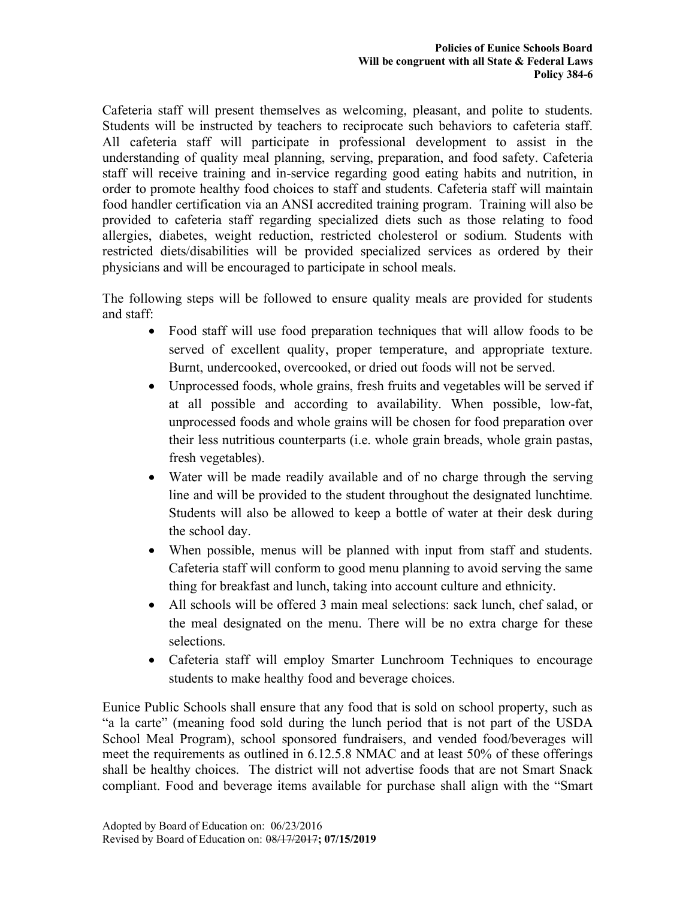Cafeteria staff will present themselves as welcoming, pleasant, and polite to students. Students will be instructed by teachers to reciprocate such behaviors to cafeteria staff. All cafeteria staff will participate in professional development to assist in the understanding of quality meal planning, serving, preparation, and food safety. Cafeteria staff will receive training and in-service regarding good eating habits and nutrition, in order to promote healthy food choices to staff and students. Cafeteria staff will maintain food handler certification via an ANSI accredited training program. Training will also be provided to cafeteria staff regarding specialized diets such as those relating to food allergies, diabetes, weight reduction, restricted cholesterol or sodium. Students with restricted diets/disabilities will be provided specialized services as ordered by their physicians and will be encouraged to participate in school meals.

The following steps will be followed to ensure quality meals are provided for students and staff:

- Food staff will use food preparation techniques that will allow foods to be served of excellent quality, proper temperature, and appropriate texture. Burnt, undercooked, overcooked, or dried out foods will not be served.
- Unprocessed foods, whole grains, fresh fruits and vegetables will be served if at all possible and according to availability. When possible, low-fat, unprocessed foods and whole grains will be chosen for food preparation over their less nutritious counterparts (i.e. whole grain breads, whole grain pastas, fresh vegetables).
- Water will be made readily available and of no charge through the serving line and will be provided to the student throughout the designated lunchtime. Students will also be allowed to keep a bottle of water at their desk during the school day.
- When possible, menus will be planned with input from staff and students. Cafeteria staff will conform to good menu planning to avoid serving the same thing for breakfast and lunch, taking into account culture and ethnicity.
- All schools will be offered 3 main meal selections: sack lunch, chef salad, or the meal designated on the menu. There will be no extra charge for these selections.
- Cafeteria staff will employ Smarter Lunchroom Techniques to encourage students to make healthy food and beverage choices.

Eunice Public Schools shall ensure that any food that is sold on school property, such as "a la carte" (meaning food sold during the lunch period that is not part of the USDA School Meal Program), school sponsored fundraisers, and vended food/beverages will meet the requirements as outlined in 6.12.5.8 NMAC and at least 50% of these offerings shall be healthy choices. The district will not advertise foods that are not Smart Snack compliant. Food and beverage items available for purchase shall align with the "Smart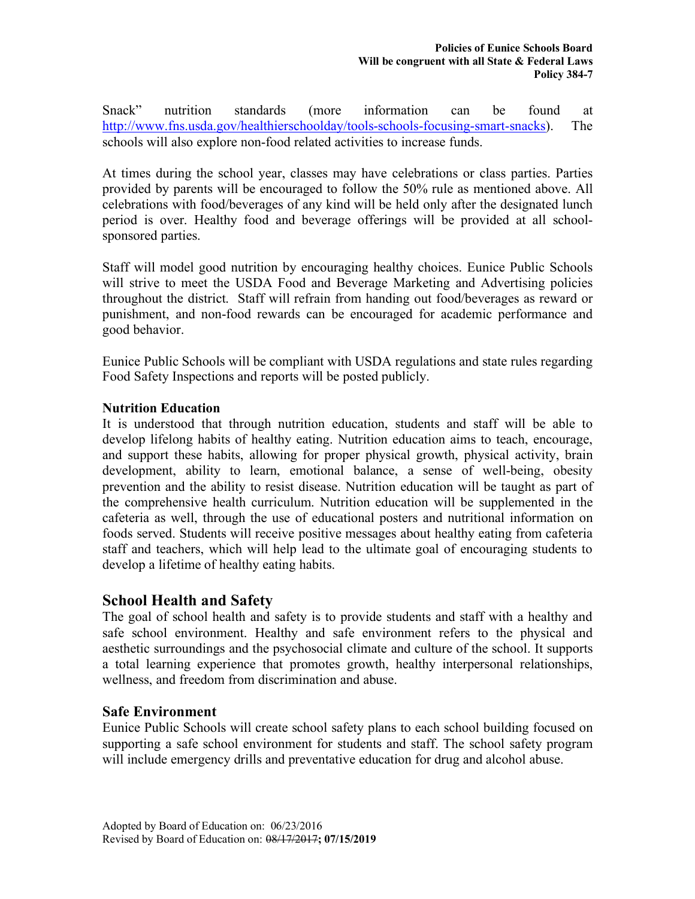Snack" nutrition standards (more information can be found at http://www.fns.usda.gov/healthierschoolday/tools-schools-focusing-smart-snacks). The schools will also explore non-food related activities to increase funds.

At times during the school year, classes may have celebrations or class parties. Parties provided by parents will be encouraged to follow the 50% rule as mentioned above. All celebrations with food/beverages of any kind will be held only after the designated lunch period is over. Healthy food and beverage offerings will be provided at all schoolsponsored parties.

Staff will model good nutrition by encouraging healthy choices. Eunice Public Schools will strive to meet the USDA Food and Beverage Marketing and Advertising policies throughout the district. Staff will refrain from handing out food/beverages as reward or punishment, and non-food rewards can be encouraged for academic performance and good behavior.

Eunice Public Schools will be compliant with USDA regulations and state rules regarding Food Safety Inspections and reports will be posted publicly.

### **Nutrition Education**

It is understood that through nutrition education, students and staff will be able to develop lifelong habits of healthy eating. Nutrition education aims to teach, encourage, and support these habits, allowing for proper physical growth, physical activity, brain development, ability to learn, emotional balance, a sense of well-being, obesity prevention and the ability to resist disease. Nutrition education will be taught as part of the comprehensive health curriculum. Nutrition education will be supplemented in the cafeteria as well, through the use of educational posters and nutritional information on foods served. Students will receive positive messages about healthy eating from cafeteria staff and teachers, which will help lead to the ultimate goal of encouraging students to develop a lifetime of healthy eating habits.

### **School Health and Safety**

The goal of school health and safety is to provide students and staff with a healthy and safe school environment. Healthy and safe environment refers to the physical and aesthetic surroundings and the psychosocial climate and culture of the school. It supports a total learning experience that promotes growth, healthy interpersonal relationships, wellness, and freedom from discrimination and abuse.

### **Safe Environment**

Eunice Public Schools will create school safety plans to each school building focused on supporting a safe school environment for students and staff. The school safety program will include emergency drills and preventative education for drug and alcohol abuse.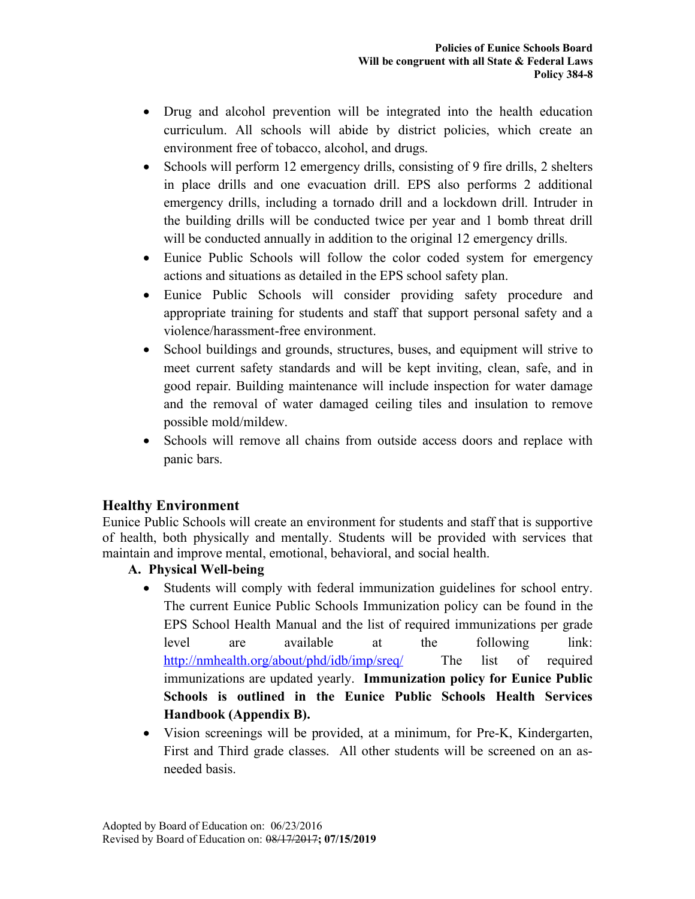- Drug and alcohol prevention will be integrated into the health education curriculum. All schools will abide by district policies, which create an environment free of tobacco, alcohol, and drugs.
- Schools will perform 12 emergency drills, consisting of 9 fire drills, 2 shelters in place drills and one evacuation drill. EPS also performs 2 additional emergency drills, including a tornado drill and a lockdown drill. Intruder in the building drills will be conducted twice per year and 1 bomb threat drill will be conducted annually in addition to the original 12 emergency drills.
- Eunice Public Schools will follow the color coded system for emergency actions and situations as detailed in the EPS school safety plan.
- Eunice Public Schools will consider providing safety procedure and appropriate training for students and staff that support personal safety and a violence/harassment-free environment.
- School buildings and grounds, structures, buses, and equipment will strive to meet current safety standards and will be kept inviting, clean, safe, and in good repair. Building maintenance will include inspection for water damage and the removal of water damaged ceiling tiles and insulation to remove possible mold/mildew.
- Schools will remove all chains from outside access doors and replace with panic bars.

### **Healthy Environment**

Eunice Public Schools will create an environment for students and staff that is supportive of health, both physically and mentally. Students will be provided with services that maintain and improve mental, emotional, behavioral, and social health.

### **A. Physical Well-being**

- Students will comply with federal immunization guidelines for school entry. The current Eunice Public Schools Immunization policy can be found in the EPS School Health Manual and the list of required immunizations per grade level are available at the following link: http://nmhealth.org/about/phd/idb/imp/sreq/ The list of required immunizations are updated yearly. **Immunization policy for Eunice Public Schools is outlined in the Eunice Public Schools Health Services Handbook (Appendix B).**
- Vision screenings will be provided, at a minimum, for Pre-K, Kindergarten, First and Third grade classes. All other students will be screened on an asneeded basis.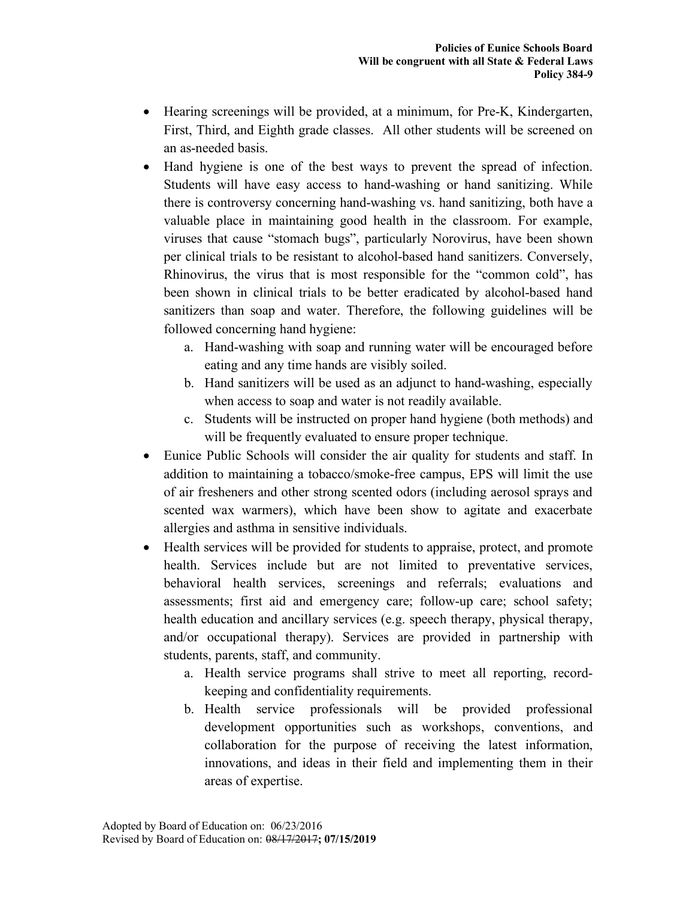- Hearing screenings will be provided, at a minimum, for Pre-K, Kindergarten, First, Third, and Eighth grade classes. All other students will be screened on an as-needed basis.
- Hand hygiene is one of the best ways to prevent the spread of infection. Students will have easy access to hand-washing or hand sanitizing. While there is controversy concerning hand-washing vs. hand sanitizing, both have a valuable place in maintaining good health in the classroom. For example, viruses that cause "stomach bugs", particularly Norovirus, have been shown per clinical trials to be resistant to alcohol-based hand sanitizers. Conversely, Rhinovirus, the virus that is most responsible for the "common cold", has been shown in clinical trials to be better eradicated by alcohol-based hand sanitizers than soap and water. Therefore, the following guidelines will be followed concerning hand hygiene:
	- a. Hand-washing with soap and running water will be encouraged before eating and any time hands are visibly soiled.
	- b. Hand sanitizers will be used as an adjunct to hand-washing, especially when access to soap and water is not readily available.
	- c. Students will be instructed on proper hand hygiene (both methods) and will be frequently evaluated to ensure proper technique.
- Eunice Public Schools will consider the air quality for students and staff. In addition to maintaining a tobacco/smoke-free campus, EPS will limit the use of air fresheners and other strong scented odors (including aerosol sprays and scented wax warmers), which have been show to agitate and exacerbate allergies and asthma in sensitive individuals.
- Health services will be provided for students to appraise, protect, and promote health. Services include but are not limited to preventative services, behavioral health services, screenings and referrals; evaluations and assessments; first aid and emergency care; follow-up care; school safety; health education and ancillary services (e.g. speech therapy, physical therapy, and/or occupational therapy). Services are provided in partnership with students, parents, staff, and community.
	- a. Health service programs shall strive to meet all reporting, recordkeeping and confidentiality requirements.
	- b. Health service professionals will be provided professional development opportunities such as workshops, conventions, and collaboration for the purpose of receiving the latest information, innovations, and ideas in their field and implementing them in their areas of expertise.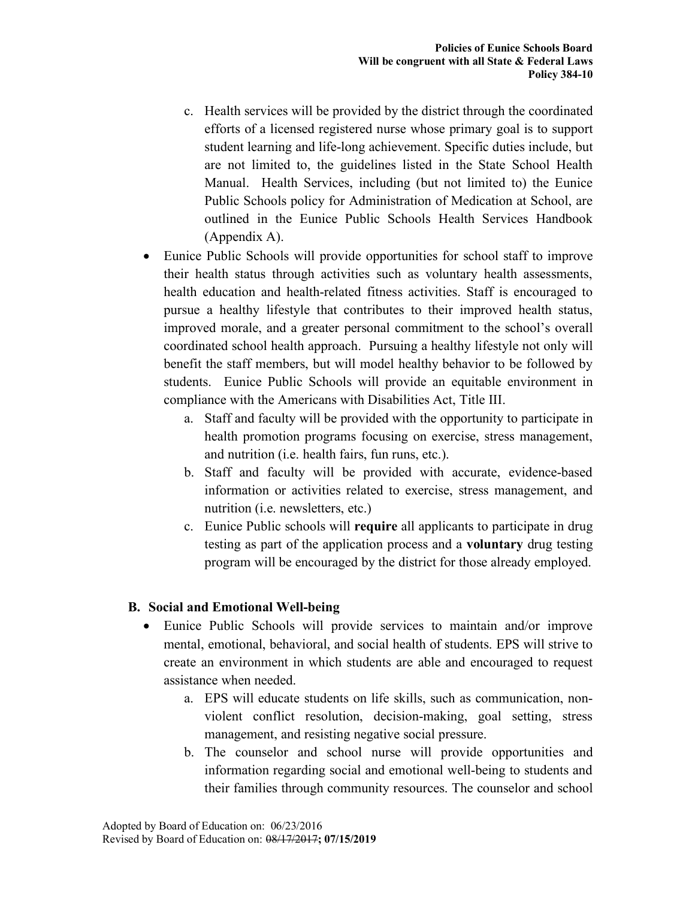- c. Health services will be provided by the district through the coordinated efforts of a licensed registered nurse whose primary goal is to support student learning and life-long achievement. Specific duties include, but are not limited to, the guidelines listed in the State School Health Manual. Health Services, including (but not limited to) the Eunice Public Schools policy for Administration of Medication at School, are outlined in the Eunice Public Schools Health Services Handbook (Appendix A).
- Eunice Public Schools will provide opportunities for school staff to improve their health status through activities such as voluntary health assessments, health education and health-related fitness activities. Staff is encouraged to pursue a healthy lifestyle that contributes to their improved health status, improved morale, and a greater personal commitment to the school's overall coordinated school health approach. Pursuing a healthy lifestyle not only will benefit the staff members, but will model healthy behavior to be followed by students. Eunice Public Schools will provide an equitable environment in compliance with the Americans with Disabilities Act, Title III.
	- a. Staff and faculty will be provided with the opportunity to participate in health promotion programs focusing on exercise, stress management, and nutrition (i.e. health fairs, fun runs, etc.).
	- b. Staff and faculty will be provided with accurate, evidence-based information or activities related to exercise, stress management, and nutrition (i.e. newsletters, etc.)
	- c. Eunice Public schools will **require** all applicants to participate in drug testing as part of the application process and a **voluntary** drug testing program will be encouraged by the district for those already employed.

### **B. Social and Emotional Well-being**

- Eunice Public Schools will provide services to maintain and/or improve mental, emotional, behavioral, and social health of students. EPS will strive to create an environment in which students are able and encouraged to request assistance when needed.
	- a. EPS will educate students on life skills, such as communication, nonviolent conflict resolution, decision-making, goal setting, stress management, and resisting negative social pressure.
	- b. The counselor and school nurse will provide opportunities and information regarding social and emotional well-being to students and their families through community resources. The counselor and school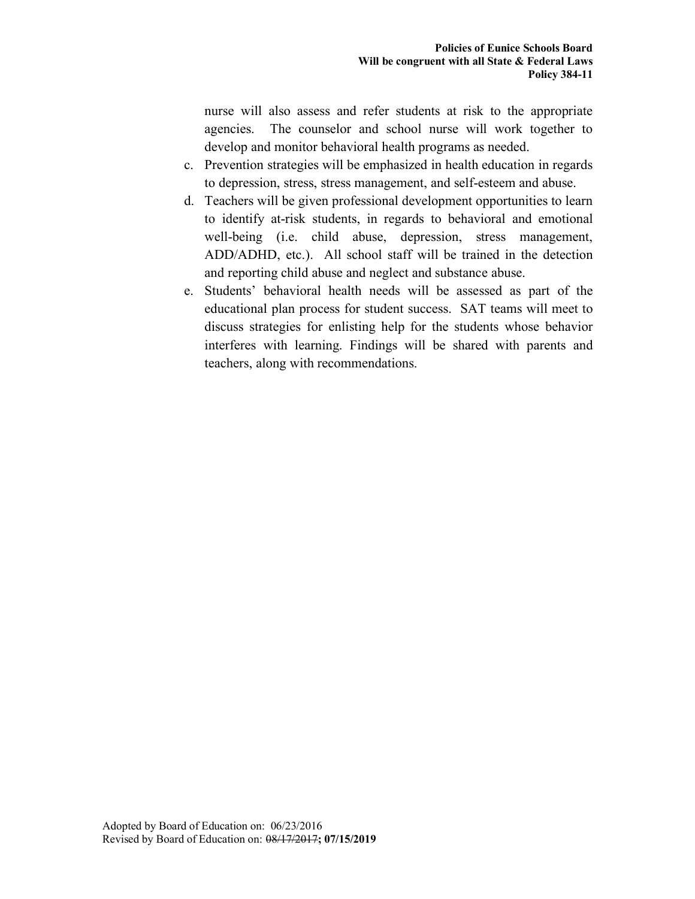nurse will also assess and refer students at risk to the appropriate agencies. The counselor and school nurse will work together to develop and monitor behavioral health programs as needed.

- c. Prevention strategies will be emphasized in health education in regards to depression, stress, stress management, and self-esteem and abuse.
- d. Teachers will be given professional development opportunities to learn to identify at-risk students, in regards to behavioral and emotional well-being (i.e. child abuse, depression, stress management, ADD/ADHD, etc.). All school staff will be trained in the detection and reporting child abuse and neglect and substance abuse.
- e. Students' behavioral health needs will be assessed as part of the educational plan process for student success. SAT teams will meet to discuss strategies for enlisting help for the students whose behavior interferes with learning. Findings will be shared with parents and teachers, along with recommendations.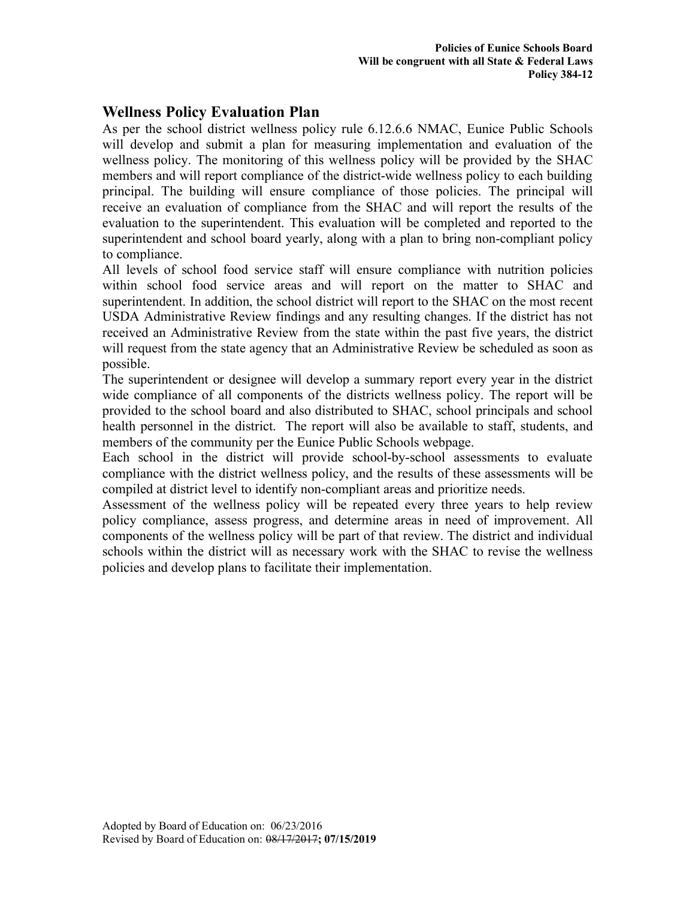## **Wellness Policy Evaluation Plan**

As per the school district wellness policy rule 6.12.6.6 NMAC, Eunice Public Schools will develop and submit a plan for measuring implementation and evaluation of the wellness policy. The monitoring of this wellness policy will be provided by the SHAC members and will report compliance of the district-wide wellness policy to each building principal. The building will ensure compliance of those policies. The principal will receive an evaluation of compliance from the SHAC and will report the results of the evaluation to the superintendent. This evaluation will be completed and reported to the superintendent and school board yearly, along with a plan to bring non-compliant policy to compliance.

All levels of school food service staff will ensure compliance with nutrition policies within school food service areas and will report on the matter to SHAC and superintendent. In addition, the school district will report to the SHAC on the most recent USDA Administrative Review findings and any resulting changes. If the district has not received an Administrative Review from the state within the past five years, the district will request from the state agency that an Administrative Review be scheduled as soon as possible.

The superintendent or designee will develop a summary report every year in the district wide compliance of all components of the districts wellness policy. The report will be provided to the school board and also distributed to SHAC, school principals and school health personnel in the district. The report will also be available to staff, students, and members of the community per the Eunice Public Schools webpage.

Each school in the district will provide school-by-school assessments to evaluate compliance with the district wellness policy, and the results of these assessments will be compiled at district level to identify non-compliant areas and prioritize needs.

Assessment of the wellness policy will be repeated every three years to help review policy compliance, assess progress, and determine areas in need of improvement. All components of the wellness policy will be part of that review. The district and individual schools within the district will as necessary work with the SHAC to revise the wellness policies and develop plans to facilitate their implementation.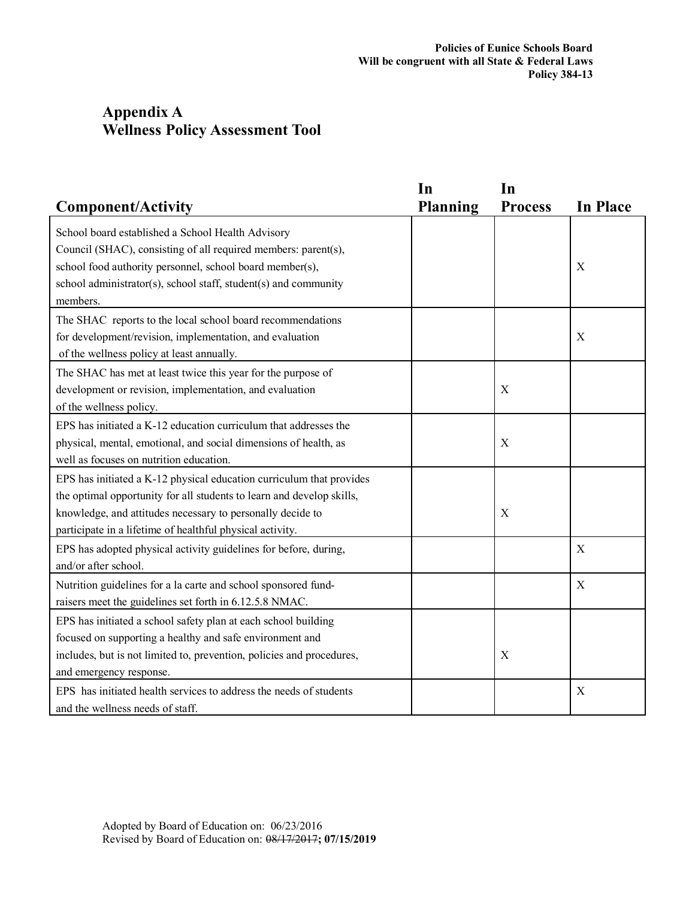# **Appendix A Wellness Policy Assessment Tool**

| <b>Component/Activity</b>                                                                                                                                                                                                                                                | In<br><b>Planning</b> | In<br><b>Process</b> | <b>In Place</b> |
|--------------------------------------------------------------------------------------------------------------------------------------------------------------------------------------------------------------------------------------------------------------------------|-----------------------|----------------------|-----------------|
| School board established a School Health Advisory<br>Council (SHAC), consisting of all required members: parent(s),<br>school food authority personnel, school board member(s),<br>school administrator(s), school staff, student(s) and community                       |                       |                      | X               |
| members.<br>The SHAC reports to the local school board recommendations<br>for development/revision, implementation, and evaluation<br>of the wellness policy at least annually.                                                                                          |                       |                      | X               |
| The SHAC has met at least twice this year for the purpose of<br>development or revision, implementation, and evaluation<br>of the wellness policy.                                                                                                                       |                       | X                    |                 |
| EPS has initiated a K-12 education curriculum that addresses the<br>physical, mental, emotional, and social dimensions of health, as<br>well as focuses on nutrition education.                                                                                          |                       | X                    |                 |
| EPS has initiated a K-12 physical education curriculum that provides<br>the optimal opportunity for all students to learn and develop skills,<br>knowledge, and attitudes necessary to personally decide to<br>participate in a lifetime of healthful physical activity. |                       | X                    |                 |
| EPS has adopted physical activity guidelines for before, during,<br>and/or after school.                                                                                                                                                                                 |                       |                      | X               |
| Nutrition guidelines for a la carte and school sponsored fund-<br>raisers meet the guidelines set forth in 6.12.5.8 NMAC.                                                                                                                                                |                       |                      | X               |
| EPS has initiated a school safety plan at each school building<br>focused on supporting a healthy and safe environment and<br>includes, but is not limited to, prevention, policies and procedures,<br>and emergency response.                                           |                       | $\mathbf X$          |                 |
| EPS has initiated health services to address the needs of students<br>and the wellness needs of staff.                                                                                                                                                                   |                       |                      | X               |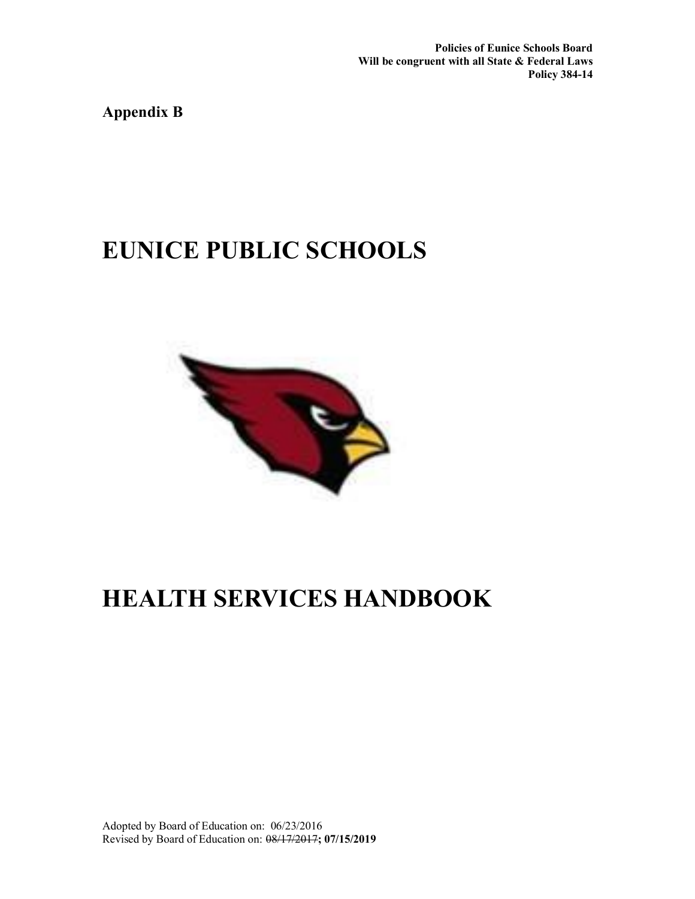**Policies of Eunice Schools Board Will be congruent with all State & Federal Laws Policy 384-14**

**Appendix B**

# **EUNICE PUBLIC SCHOOLS**



# **HEALTH SERVICES HANDBOOK**

Adopted by Board of Education on: 06/23/2016 Revised by Board of Education on: 08/17/2017**; 07/15/2019**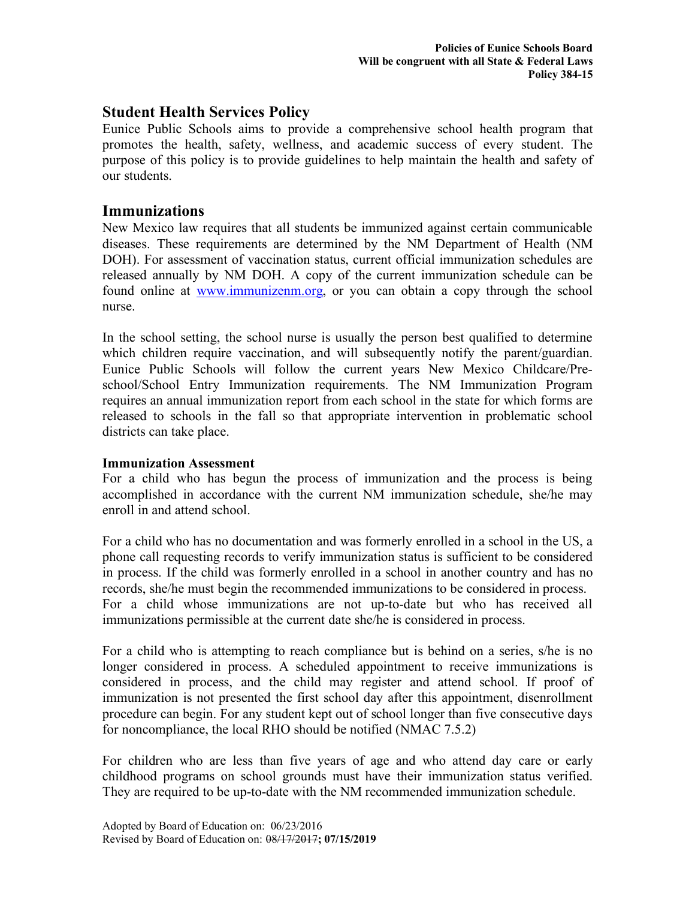### **Student Health Services Policy**

Eunice Public Schools aims to provide a comprehensive school health program that promotes the health, safety, wellness, and academic success of every student. The purpose of this policy is to provide guidelines to help maintain the health and safety of our students.

### **Immunizations**

New Mexico law requires that all students be immunized against certain communicable diseases. These requirements are determined by the NM Department of Health (NM DOH). For assessment of vaccination status, current official immunization schedules are released annually by NM DOH. A copy of the current immunization schedule can be found online at www.immunizenm.org, or you can obtain a copy through the school nurse.

In the school setting, the school nurse is usually the person best qualified to determine which children require vaccination, and will subsequently notify the parent/guardian. Eunice Public Schools will follow the current years New Mexico Childcare/Preschool/School Entry Immunization requirements. The NM Immunization Program requires an annual immunization report from each school in the state for which forms are released to schools in the fall so that appropriate intervention in problematic school districts can take place.

### **Immunization Assessment**

For a child who has begun the process of immunization and the process is being accomplished in accordance with the current NM immunization schedule, she/he may enroll in and attend school.

For a child who has no documentation and was formerly enrolled in a school in the US, a phone call requesting records to verify immunization status is sufficient to be considered in process. If the child was formerly enrolled in a school in another country and has no records, she/he must begin the recommended immunizations to be considered in process. For a child whose immunizations are not up-to-date but who has received all immunizations permissible at the current date she/he is considered in process.

For a child who is attempting to reach compliance but is behind on a series, s/he is no longer considered in process. A scheduled appointment to receive immunizations is considered in process, and the child may register and attend school. If proof of immunization is not presented the first school day after this appointment, disenrollment procedure can begin. For any student kept out of school longer than five consecutive days for noncompliance, the local RHO should be notified (NMAC 7.5.2)

For children who are less than five years of age and who attend day care or early childhood programs on school grounds must have their immunization status verified. They are required to be up-to-date with the NM recommended immunization schedule.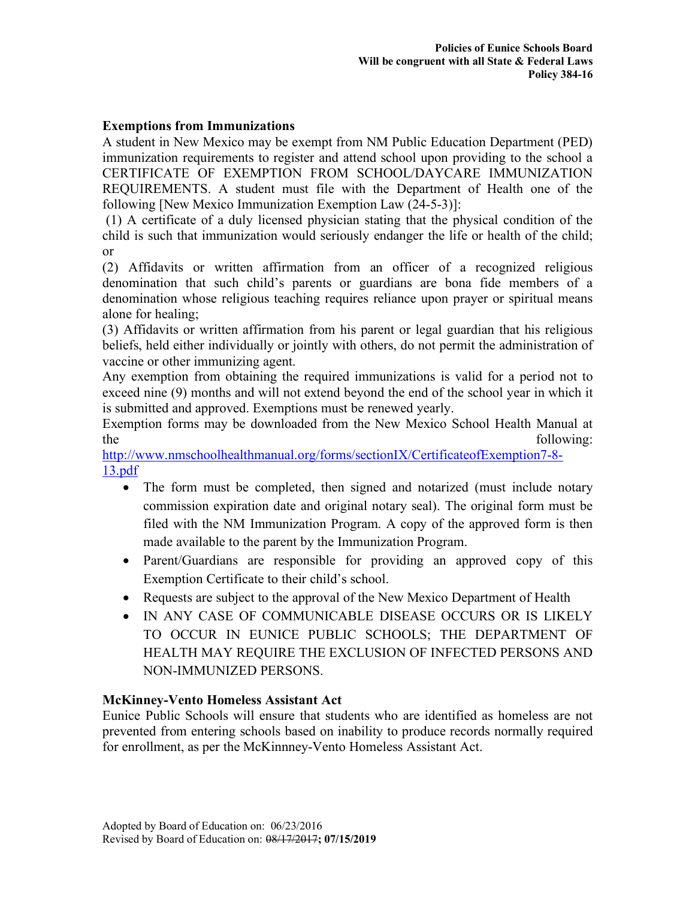### **Exemptions from Immunizations**

A student in New Mexico may be exempt from NM Public Education Department (PED) immunization requirements to register and attend school upon providing to the school a CERTIFICATE OF EXEMPTION FROM SCHOOL/DAYCARE IMMUNIZATION REQUIREMENTS. A student must file with the Department of Health one of the following [New Mexico Immunization Exemption Law (24-5-3)]:

(1) A certificate of a duly licensed physician stating that the physical condition of the child is such that immunization would seriously endanger the life or health of the child; or

(2) Affidavits or written affirmation from an officer of a recognized religious denomination that such child's parents or guardians are bona fide members of a denomination whose religious teaching requires reliance upon prayer or spiritual means alone for healing;

(3) Affidavits or written affirmation from his parent or legal guardian that his religious beliefs, held either individually or jointly with others, do not permit the administration of vaccine or other immunizing agent.

Any exemption from obtaining the required immunizations is valid for a period not to exceed nine (9) months and will not extend beyond the end of the school year in which it is submitted and approved. Exemptions must be renewed yearly.

Exemption forms may be downloaded from the New Mexico School Health Manual at the following:

http://www.nmschoolhealthmanual.org/forms/sectionIX/CertificateofExemption7-8- 13.pdf

- The form must be completed, then signed and notarized (must include notary commission expiration date and original notary seal). The original form must be filed with the NM Immunization Program. A copy of the approved form is then made available to the parent by the Immunization Program.
- Parent/Guardians are responsible for providing an approved copy of this Exemption Certificate to their child's school.
- Requests are subject to the approval of the New Mexico Department of Health
- IN ANY CASE OF COMMUNICABLE DISEASE OCCURS OR IS LIKELY TO OCCUR IN EUNICE PUBLIC SCHOOLS; THE DEPARTMENT OF HEALTH MAY REQUIRE THE EXCLUSION OF INFECTED PERSONS AND NON-IMMUNIZED PERSONS.

#### **McKinney-Vento Homeless Assistant Act**

Eunice Public Schools will ensure that students who are identified as homeless are not prevented from entering schools based on inability to produce records normally required for enrollment, as per the McKinnney-Vento Homeless Assistant Act.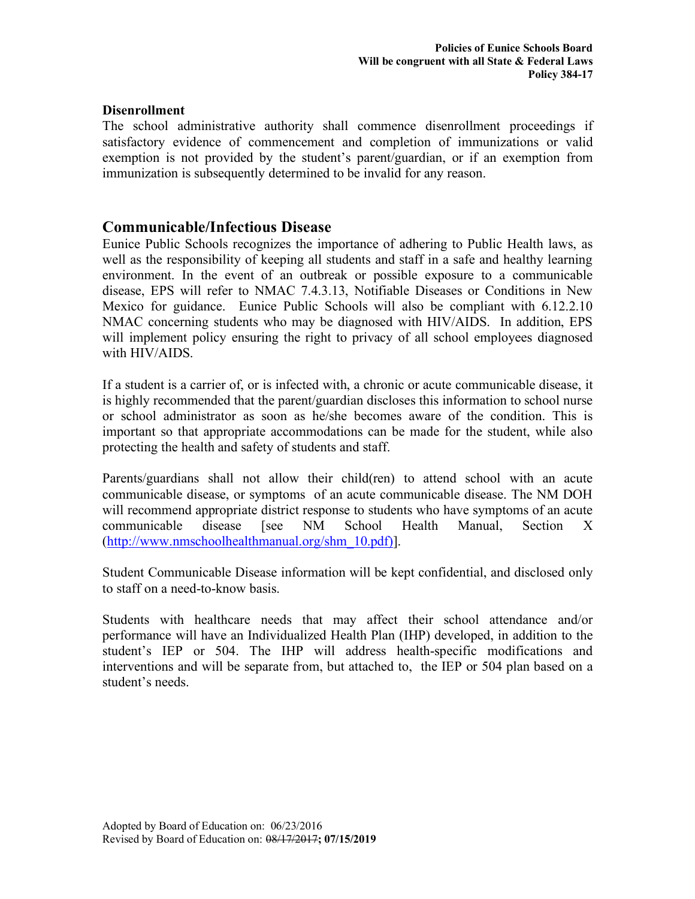### **Disenrollment**

The school administrative authority shall commence disenrollment proceedings if satisfactory evidence of commencement and completion of immunizations or valid exemption is not provided by the student's parent/guardian, or if an exemption from immunization is subsequently determined to be invalid for any reason.

### **Communicable/Infectious Disease**

Eunice Public Schools recognizes the importance of adhering to Public Health laws, as well as the responsibility of keeping all students and staff in a safe and healthy learning environment. In the event of an outbreak or possible exposure to a communicable disease, EPS will refer to NMAC 7.4.3.13, Notifiable Diseases or Conditions in New Mexico for guidance. Eunice Public Schools will also be compliant with 6.12.2.10 NMAC concerning students who may be diagnosed with HIV/AIDS. In addition, EPS will implement policy ensuring the right to privacy of all school employees diagnosed with HIV/AIDS.

If a student is a carrier of, or is infected with, a chronic or acute communicable disease, it is highly recommended that the parent/guardian discloses this information to school nurse or school administrator as soon as he/she becomes aware of the condition. This is important so that appropriate accommodations can be made for the student, while also protecting the health and safety of students and staff.

Parents/guardians shall not allow their child(ren) to attend school with an acute communicable disease, or symptoms of an acute communicable disease. The NM DOH will recommend appropriate district response to students who have symptoms of an acute communicable disease [see NM School Health Manual, Section X (http://www.nmschoolhealthmanual.org/shm\_10.pdf)].

Student Communicable Disease information will be kept confidential, and disclosed only to staff on a need-to-know basis.

Students with healthcare needs that may affect their school attendance and/or performance will have an Individualized Health Plan (IHP) developed, in addition to the student's IEP or 504. The IHP will address health-specific modifications and interventions and will be separate from, but attached to, the IEP or 504 plan based on a student's needs.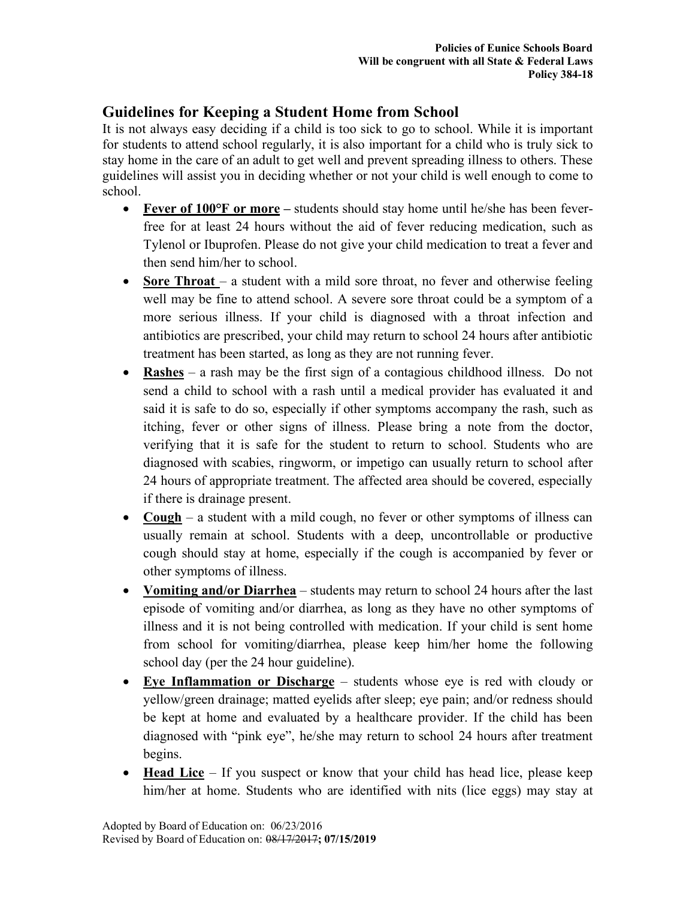# **Guidelines for Keeping a Student Home from School**

It is not always easy deciding if a child is too sick to go to school. While it is important for students to attend school regularly, it is also important for a child who is truly sick to stay home in the care of an adult to get well and prevent spreading illness to others. These guidelines will assist you in deciding whether or not your child is well enough to come to school.

- **Fever of 100°F or more** students should stay home until he/she has been feverfree for at least 24 hours without the aid of fever reducing medication, such as Tylenol or Ibuprofen. Please do not give your child medication to treat a fever and then send him/her to school.
- **Sore Throat** a student with a mild sore throat, no fever and otherwise feeling well may be fine to attend school. A severe sore throat could be a symptom of a more serious illness. If your child is diagnosed with a throat infection and antibiotics are prescribed, your child may return to school 24 hours after antibiotic treatment has been started, as long as they are not running fever.
- **Rashes** a rash may be the first sign of a contagious childhood illness. Do not send a child to school with a rash until a medical provider has evaluated it and said it is safe to do so, especially if other symptoms accompany the rash, such as itching, fever or other signs of illness. Please bring a note from the doctor, verifying that it is safe for the student to return to school. Students who are diagnosed with scabies, ringworm, or impetigo can usually return to school after 24 hours of appropriate treatment. The affected area should be covered, especially if there is drainage present.
- **Cough** a student with a mild cough, no fever or other symptoms of illness can usually remain at school. Students with a deep, uncontrollable or productive cough should stay at home, especially if the cough is accompanied by fever or other symptoms of illness.
- **Vomiting and/or Diarrhea** students may return to school 24 hours after the last episode of vomiting and/or diarrhea, as long as they have no other symptoms of illness and it is not being controlled with medication. If your child is sent home from school for vomiting/diarrhea, please keep him/her home the following school day (per the 24 hour guideline).
- **Eye Inflammation or Discharge** students whose eye is red with cloudy or yellow/green drainage; matted eyelids after sleep; eye pain; and/or redness should be kept at home and evaluated by a healthcare provider. If the child has been diagnosed with "pink eye", he/she may return to school 24 hours after treatment begins.
- **Head Lice** If you suspect or know that your child has head lice, please keep him/her at home. Students who are identified with nits (lice eggs) may stay at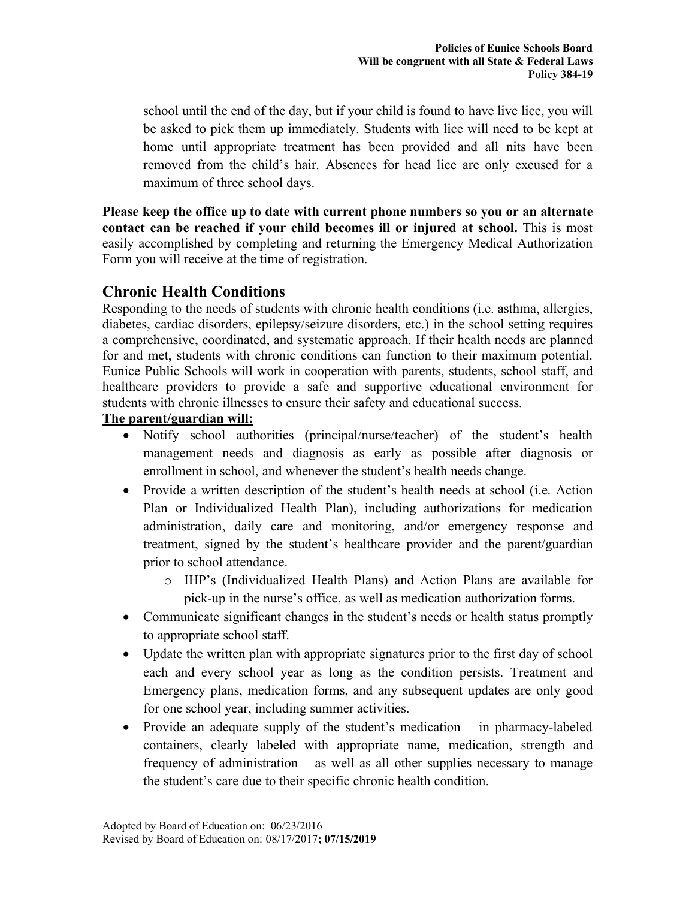school until the end of the day, but if your child is found to have live lice, you will be asked to pick them up immediately. Students with lice will need to be kept at home until appropriate treatment has been provided and all nits have been removed from the child's hair. Absences for head lice are only excused for a maximum of three school days.

**Please keep the office up to date with current phone numbers so you or an alternate contact can be reached if your child becomes ill or injured at school.** This is most easily accomplished by completing and returning the Emergency Medical Authorization Form you will receive at the time of registration.

## **Chronic Health Conditions**

Responding to the needs of students with chronic health conditions (i.e. asthma, allergies, diabetes, cardiac disorders, epilepsy/seizure disorders, etc.) in the school setting requires a comprehensive, coordinated, and systematic approach. If their health needs are planned for and met, students with chronic conditions can function to their maximum potential. Eunice Public Schools will work in cooperation with parents, students, school staff, and healthcare providers to provide a safe and supportive educational environment for students with chronic illnesses to ensure their safety and educational success.

### **The parent/guardian will:**

- Notify school authorities (principal/nurse/teacher) of the student's health management needs and diagnosis as early as possible after diagnosis or enrollment in school, and whenever the student's health needs change.
- Provide a written description of the student's health needs at school (i.e. Action Plan or Individualized Health Plan), including authorizations for medication administration, daily care and monitoring, and/or emergency response and treatment, signed by the student's healthcare provider and the parent/guardian prior to school attendance.
	- o IHP's (Individualized Health Plans) and Action Plans are available for pick-up in the nurse's office, as well as medication authorization forms.
- Communicate significant changes in the student's needs or health status promptly to appropriate school staff.
- Update the written plan with appropriate signatures prior to the first day of school each and every school year as long as the condition persists. Treatment and Emergency plans, medication forms, and any subsequent updates are only good for one school year, including summer activities.
- Provide an adequate supply of the student's medication in pharmacy-labeled containers, clearly labeled with appropriate name, medication, strength and frequency of administration – as well as all other supplies necessary to manage the student's care due to their specific chronic health condition.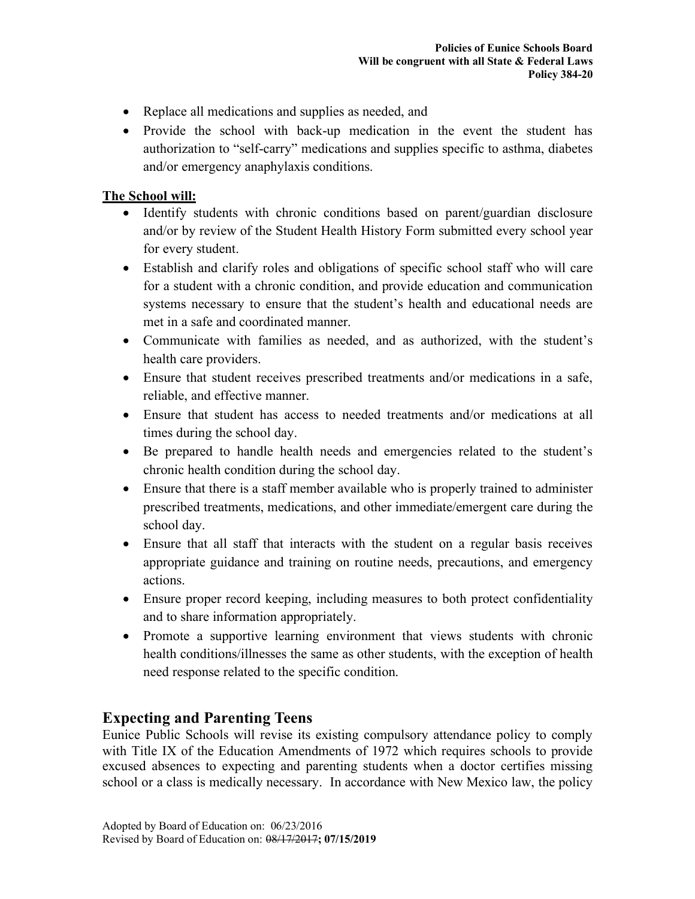- Replace all medications and supplies as needed, and
- Provide the school with back-up medication in the event the student has authorization to "self-carry" medications and supplies specific to asthma, diabetes and/or emergency anaphylaxis conditions.

### **The School will:**

- Identify students with chronic conditions based on parent/guardian disclosure and/or by review of the Student Health History Form submitted every school year for every student.
- Establish and clarify roles and obligations of specific school staff who will care for a student with a chronic condition, and provide education and communication systems necessary to ensure that the student's health and educational needs are met in a safe and coordinated manner.
- Communicate with families as needed, and as authorized, with the student's health care providers.
- Ensure that student receives prescribed treatments and/or medications in a safe, reliable, and effective manner.
- Ensure that student has access to needed treatments and/or medications at all times during the school day.
- Be prepared to handle health needs and emergencies related to the student's chronic health condition during the school day.
- Ensure that there is a staff member available who is properly trained to administer prescribed treatments, medications, and other immediate/emergent care during the school day.
- Ensure that all staff that interacts with the student on a regular basis receives appropriate guidance and training on routine needs, precautions, and emergency actions.
- Ensure proper record keeping, including measures to both protect confidentiality and to share information appropriately.
- Promote a supportive learning environment that views students with chronic health conditions/illnesses the same as other students, with the exception of health need response related to the specific condition.

### **Expecting and Parenting Teens**

Eunice Public Schools will revise its existing compulsory attendance policy to comply with Title IX of the Education Amendments of 1972 which requires schools to provide excused absences to expecting and parenting students when a doctor certifies missing school or a class is medically necessary. In accordance with New Mexico law, the policy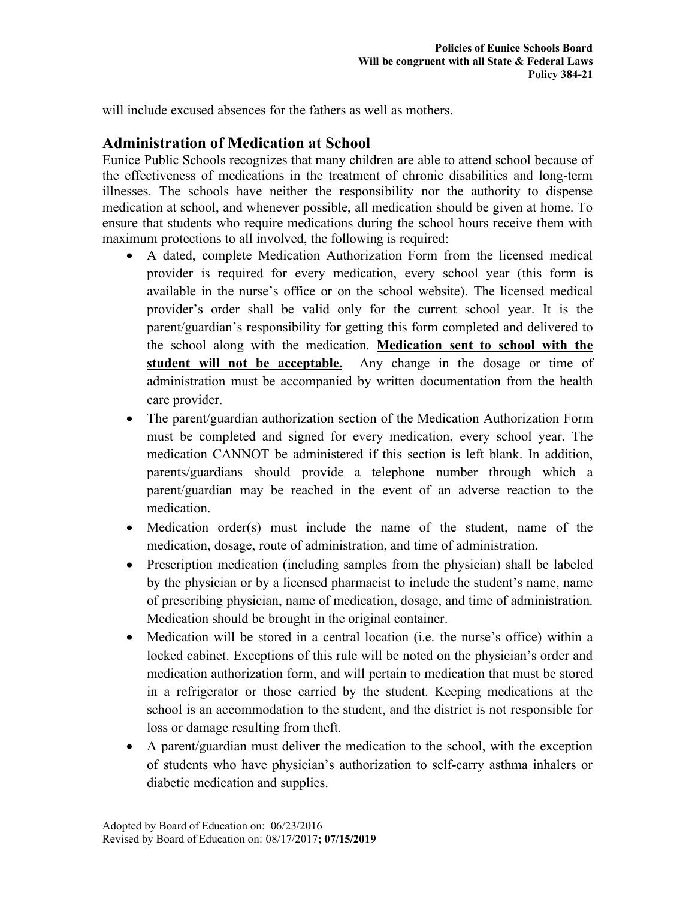will include excused absences for the fathers as well as mothers.

## **Administration of Medication at School**

Eunice Public Schools recognizes that many children are able to attend school because of the effectiveness of medications in the treatment of chronic disabilities and long-term illnesses. The schools have neither the responsibility nor the authority to dispense medication at school, and whenever possible, all medication should be given at home. To ensure that students who require medications during the school hours receive them with maximum protections to all involved, the following is required:

- A dated, complete Medication Authorization Form from the licensed medical provider is required for every medication, every school year (this form is available in the nurse's office or on the school website). The licensed medical provider's order shall be valid only for the current school year. It is the parent/guardian's responsibility for getting this form completed and delivered to the school along with the medication. **Medication sent to school with the student will not be acceptable.** Any change in the dosage or time of administration must be accompanied by written documentation from the health care provider.
- The parent/guardian authorization section of the Medication Authorization Form must be completed and signed for every medication, every school year. The medication CANNOT be administered if this section is left blank. In addition, parents/guardians should provide a telephone number through which a parent/guardian may be reached in the event of an adverse reaction to the medication.
- Medication order(s) must include the name of the student, name of the medication, dosage, route of administration, and time of administration.
- Prescription medication (including samples from the physician) shall be labeled by the physician or by a licensed pharmacist to include the student's name, name of prescribing physician, name of medication, dosage, and time of administration. Medication should be brought in the original container.
- Medication will be stored in a central location (i.e. the nurse's office) within a locked cabinet. Exceptions of this rule will be noted on the physician's order and medication authorization form, and will pertain to medication that must be stored in a refrigerator or those carried by the student. Keeping medications at the school is an accommodation to the student, and the district is not responsible for loss or damage resulting from theft.
- A parent/guardian must deliver the medication to the school, with the exception of students who have physician's authorization to self-carry asthma inhalers or diabetic medication and supplies.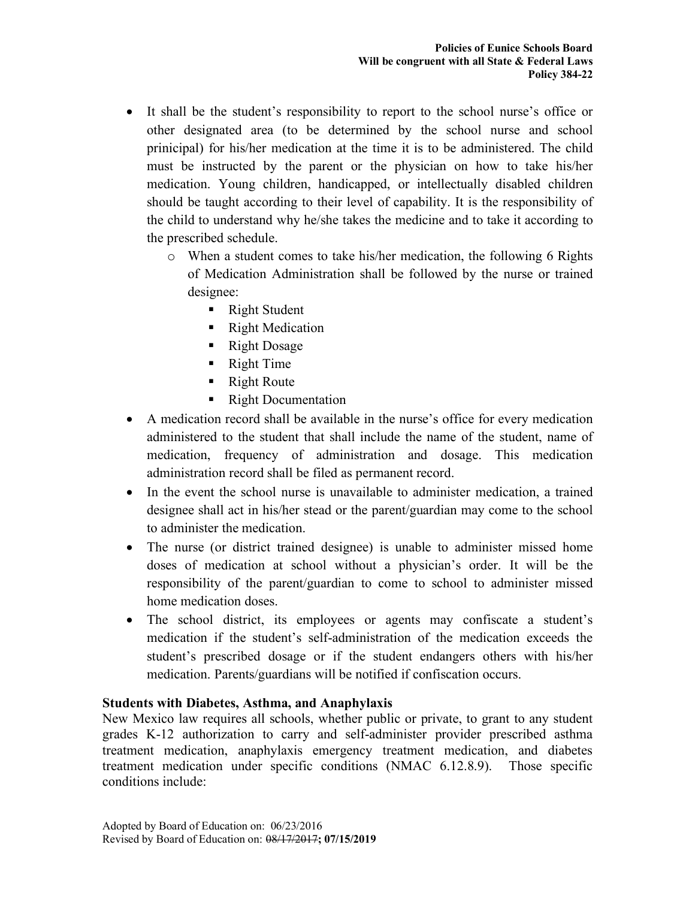- It shall be the student's responsibility to report to the school nurse's office or other designated area (to be determined by the school nurse and school prinicipal) for his/her medication at the time it is to be administered. The child must be instructed by the parent or the physician on how to take his/her medication. Young children, handicapped, or intellectually disabled children should be taught according to their level of capability. It is the responsibility of the child to understand why he/she takes the medicine and to take it according to the prescribed schedule.
	- o When a student comes to take his/her medication, the following 6 Rights of Medication Administration shall be followed by the nurse or trained designee:
		- Right Student
		- Right Medication
		- Right Dosage
		- Right Time
		- Right Route
		- Right Documentation
- A medication record shall be available in the nurse's office for every medication administered to the student that shall include the name of the student, name of medication, frequency of administration and dosage. This medication administration record shall be filed as permanent record.
- In the event the school nurse is unavailable to administer medication, a trained designee shall act in his/her stead or the parent/guardian may come to the school to administer the medication.
- The nurse (or district trained designee) is unable to administer missed home doses of medication at school without a physician's order. It will be the responsibility of the parent/guardian to come to school to administer missed home medication doses.
- The school district, its employees or agents may confiscate a student's medication if the student's self-administration of the medication exceeds the student's prescribed dosage or if the student endangers others with his/her medication. Parents/guardians will be notified if confiscation occurs.

#### **Students with Diabetes, Asthma, and Anaphylaxis**

New Mexico law requires all schools, whether public or private, to grant to any student grades K-12 authorization to carry and self-administer provider prescribed asthma treatment medication, anaphylaxis emergency treatment medication, and diabetes treatment medication under specific conditions (NMAC 6.12.8.9). Those specific conditions include: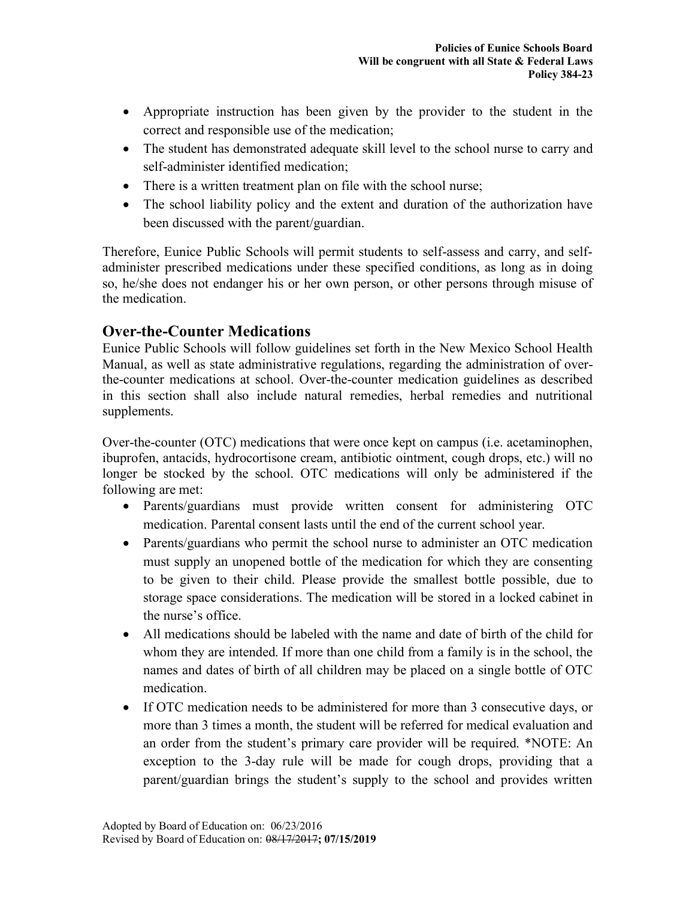- Appropriate instruction has been given by the provider to the student in the correct and responsible use of the medication;
- The student has demonstrated adequate skill level to the school nurse to carry and self-administer identified medication;
- There is a written treatment plan on file with the school nurse;
- The school liability policy and the extent and duration of the authorization have been discussed with the parent/guardian.

Therefore, Eunice Public Schools will permit students to self-assess and carry, and selfadminister prescribed medications under these specified conditions, as long as in doing so, he/she does not endanger his or her own person, or other persons through misuse of the medication.

# **Over-the-Counter Medications**

Eunice Public Schools will follow guidelines set forth in the New Mexico School Health Manual, as well as state administrative regulations, regarding the administration of overthe-counter medications at school. Over-the-counter medication guidelines as described in this section shall also include natural remedies, herbal remedies and nutritional supplements.

Over-the-counter (OTC) medications that were once kept on campus (i.e. acetaminophen, ibuprofen, antacids, hydrocortisone cream, antibiotic ointment, cough drops, etc.) will no longer be stocked by the school. OTC medications will only be administered if the following are met:

- Parents/guardians must provide written consent for administering OTC medication. Parental consent lasts until the end of the current school year.
- Parents/guardians who permit the school nurse to administer an OTC medication must supply an unopened bottle of the medication for which they are consenting to be given to their child. Please provide the smallest bottle possible, due to storage space considerations. The medication will be stored in a locked cabinet in the nurse's office.
- All medications should be labeled with the name and date of birth of the child for whom they are intended. If more than one child from a family is in the school, the names and dates of birth of all children may be placed on a single bottle of OTC medication.
- If OTC medication needs to be administered for more than 3 consecutive days, or more than 3 times a month, the student will be referred for medical evaluation and an order from the student's primary care provider will be required. \*NOTE: An exception to the 3-day rule will be made for cough drops, providing that a parent/guardian brings the student's supply to the school and provides written